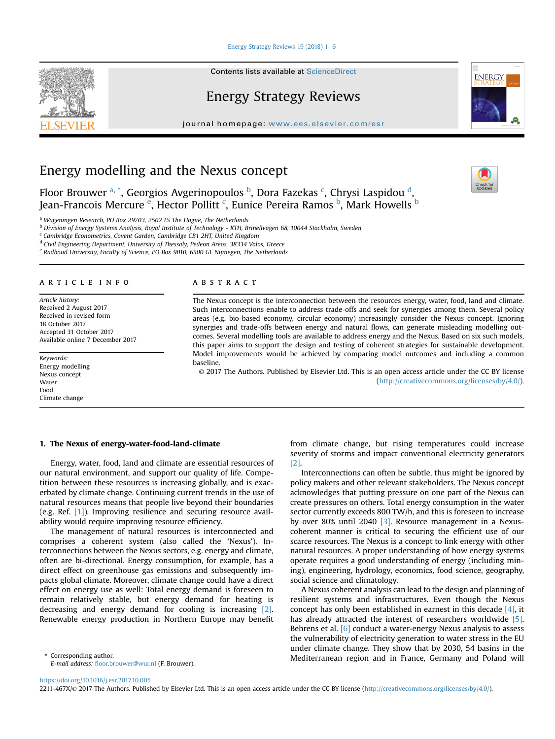#### [Energy Strategy Reviews 19 \(2018\) 1](https://doi.org/10.1016/j.esr.2017.10.005)-[6](https://doi.org/10.1016/j.esr.2017.10.005)

Contents lists available at ScienceDirect

# Energy Strategy Reviews

journal homepage: <www.ees.elsevier.com/esr>

# Energy modelling and the Nexus concept

Floor Brouwer <sup>a, \*</sup>, Georgios Avgerinopoulos <sup>b</sup>, Dora Fazekas <sup>c</sup>, Chrysi Laspidou <sup>d</sup>, Jean-Francois Mercure <sup>e</sup>, Hector Pollitt <sup>c</sup>, Eunice Pereira Ramos <sup>b</sup>, Mark Howells <sup>b</sup>

<sup>a</sup> Wageningen Research, PO Box 29703, 2502 LS The Hague, The Netherlands

b Division of Energy Systems Analysis, Royal Institute of Technology - KTH, Brinellvägen 68, 10044 Stockholm, Sweden

<sup>c</sup> Cambridge Econometrics, Covent Garden, Cambridge CB1 2HT, United Kingdom

<sup>d</sup> Civil Engineering Department, University of Thessaly, Pedeon Areos, 38334 Volos, Greece

<sup>e</sup> Radboud University, Faculty of Science, PO Box 9010, 6500 GL Nijmegen, The Netherlands

### article info

Article history: Received 2 August 2017 Received in revised form 18 October 2017 Accepted 31 October 2017 Available online 7 December 2017

Keywords: Energy modelling Nexus concept Water Food Climate change

## **ABSTRACT**

The Nexus concept is the interconnection between the resources energy, water, food, land and climate. Such interconnections enable to address trade-offs and seek for synergies among them. Several policy areas (e.g. bio-based economy, circular economy) increasingly consider the Nexus concept. Ignoring synergies and trade-offs between energy and natural flows, can generate misleading modelling outcomes. Several modelling tools are available to address energy and the Nexus. Based on six such models, this paper aims to support the design and testing of coherent strategies for sustainable development. Model improvements would be achieved by comparing model outcomes and including a common baseline.

© 2017 The Authors. Published by Elsevier Ltd. This is an open access article under the CC BY license [\(http://creativecommons.org/licenses/by/4.0/](http://creativecommons.org/licenses/by/4.0/)).

#### 1. The Nexus of energy-water-food-land-climate

Energy, water, food, land and climate are essential resources of our natural environment, and support our quality of life. Competition between these resources is increasing globally, and is exacerbated by climate change. Continuing current trends in the use of natural resources means that people live beyond their boundaries (e.g. Ref. [\[1\]](#page-4-0)). Improving resilience and securing resource availability would require improving resource efficiency.

The management of natural resources is interconnected and comprises a coherent system (also called the 'Nexus'). Interconnections between the Nexus sectors, e.g. energy and climate, often are bi-directional. Energy consumption, for example, has a direct effect on greenhouse gas emissions and subsequently impacts global climate. Moreover, climate change could have a direct effect on energy use as well: Total energy demand is foreseen to remain relatively stable, but energy demand for heating is decreasing and energy demand for cooling is increasing [\[2\].](#page-4-0) Renewable energy production in Northern Europe may benefit

E-mail address: fl[oor.brouwer@wur.nl](mailto:floor.brouwer@wur.nl) (F. Brouwer).

from climate change, but rising temperatures could increase severity of storms and impact conventional electricity generators [\[2\]](#page-4-0).

Interconnections can often be subtle, thus might be ignored by policy makers and other relevant stakeholders. The Nexus concept acknowledges that putting pressure on one part of the Nexus can create pressures on others. Total energy consumption in the water sector currently exceeds 800 TW/h, and this is foreseen to increase by over 80% until 2040 [\[3\]](#page-4-0). Resource management in a Nexuscoherent manner is critical to securing the efficient use of our scarce resources. The Nexus is a concept to link energy with other natural resources. A proper understanding of how energy systems operate requires a good understanding of energy (including mining), engineering, hydrology, economics, food science, geography, social science and climatology.

A Nexus coherent analysis can lead to the design and planning of resilient systems and infrastructures. Even though the Nexus concept has only been established in earnest in this decade [\[4\],](#page-4-0) it has already attracted the interest of researchers worldwide [\[5\].](#page-4-0) Behrens et al. [\[6\]](#page-4-0) conduct a water-energy Nexus analysis to assess the vulnerability of electricity generation to water stress in the EU under climate change. They show that by 2030, 54 basins in the Corresponding author. The corresponding author. The corresponding author. The corresponding author. The corresponding author. The corresponding author. The corresponding author. The corresponding author. The corresponding







<sup>2211-467</sup>X/© 2017 The Authors. Published by Elsevier Ltd. This is an open access article under the CC BY license [\(http://creativecommons.org/licenses/by/4.0/](http://creativecommons.org/licenses/by/4.0/)).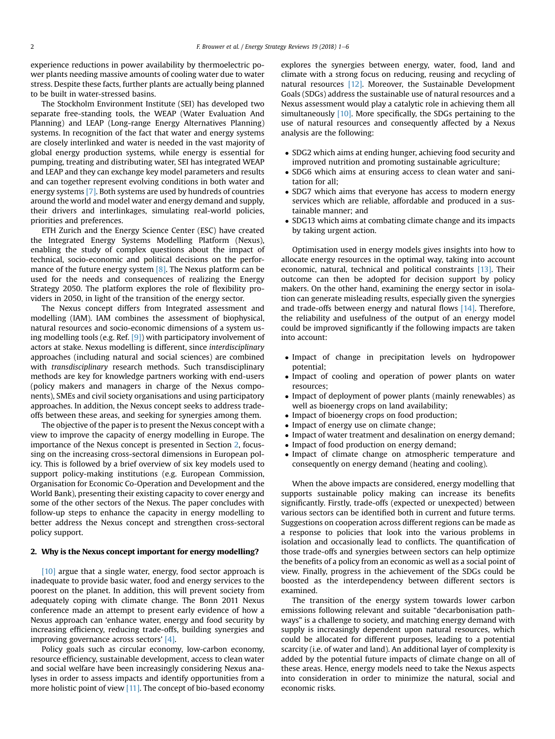experience reductions in power availability by thermoelectric power plants needing massive amounts of cooling water due to water stress. Despite these facts, further plants are actually being planned to be built in water-stressed basins.

The Stockholm Environment Institute (SEI) has developed two separate free-standing tools, the WEAP (Water Evaluation And Planning) and LEAP (Long-range Energy Alternatives Planning) systems. In recognition of the fact that water and energy systems are closely interlinked and water is needed in the vast majority of global energy production systems, while energy is essential for pumping, treating and distributing water, SEI has integrated WEAP and LEAP and they can exchange key model parameters and results and can together represent evolving conditions in both water and energy systems [\[7\].](#page-4-0) Both systems are used by hundreds of countries around the world and model water and energy demand and supply, their drivers and interlinkages, simulating real-world policies, priorities and preferences.

ETH Zurich and the Energy Science Center (ESC) have created the Integrated Energy Systems Modelling Platform (Nexus), enabling the study of complex questions about the impact of technical, socio-economic and political decisions on the perfor-mance of the future energy system [\[8\].](#page-4-0) The Nexus platform can be used for the needs and consequences of realizing the Energy Strategy 2050. The platform explores the role of flexibility providers in 2050, in light of the transition of the energy sector.

The Nexus concept differs from Integrated assessment and modelling (IAM). IAM combines the assessment of biophysical, natural resources and socio-economic dimensions of a system using modelling tools (e.g. Ref.  $[9]$ ) with participatory involvement of actors at stake. Nexus modelling is different, since interdisciplinary approaches (including natural and social sciences) are combined with *transdisciplinary* research methods. Such transdisciplinary methods are key for knowledge partners working with end-users (policy makers and managers in charge of the Nexus components), SMEs and civil society organisations and using participatory approaches. In addition, the Nexus concept seeks to address tradeoffs between these areas, and seeking for synergies among them.

The objective of the paper is to present the Nexus concept with a view to improve the capacity of energy modelling in Europe. The importance of the Nexus concept is presented in Section 2, focussing on the increasing cross-sectoral dimensions in European policy. This is followed by a brief overview of six key models used to support policy-making institutions (e.g. European Commission, Organisation for Economic Co-Operation and Development and the World Bank), presenting their existing capacity to cover energy and some of the other sectors of the Nexus. The paper concludes with follow-up steps to enhance the capacity in energy modelling to better address the Nexus concept and strengthen cross-sectoral policy support.

### 2. Why is the Nexus concept important for energy modelling?

[\[10\]](#page-5-0) argue that a single water, energy, food sector approach is inadequate to provide basic water, food and energy services to the poorest on the planet. In addition, this will prevent society from adequately coping with climate change. The Bonn 2011 Nexus conference made an attempt to present early evidence of how a Nexus approach can 'enhance water, energy and food security by increasing efficiency, reducing trade-offs, building synergies and improving governance across sectors' [\[4\].](#page-4-0)

Policy goals such as circular economy, low-carbon economy, resource efficiency, sustainable development, access to clean water and social welfare have been increasingly considering Nexus analyses in order to assess impacts and identify opportunities from a more holistic point of view [\[11\]](#page-5-0). The concept of bio-based economy explores the synergies between energy, water, food, land and climate with a strong focus on reducing, reusing and recycling of natural resources [\[12\].](#page-5-0) Moreover, the Sustainable Development Goals (SDGs) address the sustainable use of natural resources and a Nexus assessment would play a catalytic role in achieving them all simultaneously [\[10\]](#page-5-0). More specifically, the SDGs pertaining to the use of natural resources and consequently affected by a Nexus analysis are the following:

- SDG2 which aims at ending hunger, achieving food security and improved nutrition and promoting sustainable agriculture;
- SDG6 which aims at ensuring access to clean water and sanitation for all;
- SDG7 which aims that everyone has access to modern energy services which are reliable, affordable and produced in a sustainable manner; and
- SDG13 which aims at combating climate change and its impacts by taking urgent action.

Optimisation used in energy models gives insights into how to allocate energy resources in the optimal way, taking into account economic, natural, technical and political constraints [\[13\]](#page-5-0). Their outcome can then be adopted for decision support by policy makers. On the other hand, examining the energy sector in isolation can generate misleading results, especially given the synergies and trade-offs between energy and natural flows [\[14\].](#page-5-0) Therefore, the reliability and usefulness of the output of an energy model could be improved significantly if the following impacts are taken into account:

- Impact of change in precipitation levels on hydropower potential;
- Impact of cooling and operation of power plants on water resources;
- Impact of deployment of power plants (mainly renewables) as well as bioenergy crops on land availability;
- Impact of bioenergy crops on food production;
- Impact of energy use on climate change;
- Impact of water treatment and desalination on energy demand;
- Impact of food production on energy demand;
- Impact of climate change on atmospheric temperature and consequently on energy demand (heating and cooling).

When the above impacts are considered, energy modelling that supports sustainable policy making can increase its benefits significantly. Firstly, trade-offs (expected or unexpected) between various sectors can be identified both in current and future terms. Suggestions on cooperation across different regions can be made as a response to policies that look into the various problems in isolation and occasionally lead to conflicts. The quantification of those trade-offs and synergies between sectors can help optimize the benefits of a policy from an economic as well as a social point of view. Finally, progress in the achievement of the SDGs could be boosted as the interdependency between different sectors is examined.

The transition of the energy system towards lower carbon emissions following relevant and suitable "decarbonisation pathways" is a challenge to society, and matching energy demand with supply is increasingly dependent upon natural resources, which could be allocated for different purposes, leading to a potential scarcity (i.e. of water and land). An additional layer of complexity is added by the potential future impacts of climate change on all of these areas. Hence, energy models need to take the Nexus aspects into consideration in order to minimize the natural, social and economic risks.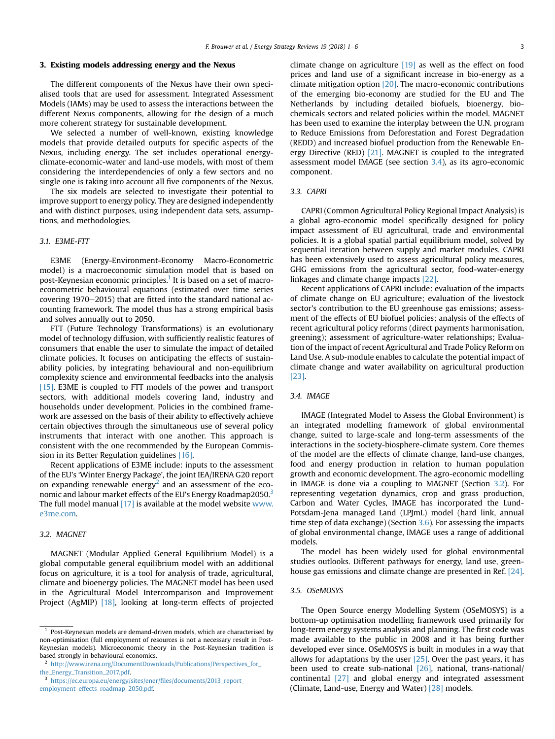#### <span id="page-2-0"></span>3. Existing models addressing energy and the Nexus

The different components of the Nexus have their own specialised tools that are used for assessment. Integrated Assessment Models (IAMs) may be used to assess the interactions between the different Nexus components, allowing for the design of a much more coherent strategy for sustainable development.

We selected a number of well-known, existing knowledge models that provide detailed outputs for specific aspects of the Nexus, including energy. The set includes operational energyclimate-economic-water and land-use models, with most of them considering the interdependencies of only a few sectors and no single one is taking into account all five components of the Nexus.

The six models are selected to investigate their potential to improve support to energy policy. They are designed independently and with distinct purposes, using independent data sets, assumptions, and methodologies.

### 3.1. E3ME-FTT

E3ME (Energy-Environment-Economy Macro-Econometric model) is a macroeconomic simulation model that is based on post-Keynesian economic principles.<sup>1</sup> It is based on a set of macroeconometric behavioural equations (estimated over time series covering  $1970-2015$ ) that are fitted into the standard national accounting framework. The model thus has a strong empirical basis and solves annually out to 2050.

FTT (Future Technology Transformations) is an evolutionary model of technology diffusion, with sufficiently realistic features of consumers that enable the user to simulate the impact of detailed climate policies. It focuses on anticipating the effects of sustainability policies, by integrating behavioural and non-equilibrium complexity science and environmental feedbacks into the analysis [\[15\]](#page-5-0). E3ME is coupled to FTT models of the power and transport sectors, with additional models covering land, industry and households under development. Policies in the combined framework are assessed on the basis of their ability to effectively achieve certain objectives through the simultaneous use of several policy instruments that interact with one another. This approach is consistent with the one recommended by the European Commission in its Better Regulation guidelines [\[16\]](#page-5-0).

Recent applications of E3ME include: inputs to the assessment of the EU's 'Winter Energy Package', the joint IEA/IRENA G20 report on expanding renewable energy<sup>2</sup> and an assessment of the economic and labour market effects of the EU's Energy Roadmap2050.<sup>3</sup> The full model manual  $[17]$  is available at the model website [www.](http://www.e3me.com) [e3me.com](http://www.e3me.com).

### 3.2. MAGNET

MAGNET (Modular Applied General Equilibrium Model) is a global computable general equilibrium model with an additional focus on agriculture, it is a tool for analysis of trade, agricultural, climate and bioenergy policies. The MAGNET model has been used in the Agricultural Model Intercomparison and Improvement Project (AgMIP) [\[18\]](#page-5-0), looking at long-term effects of projected climate change on agriculture [\[19\]](#page-5-0) as well as the effect on food prices and land use of a significant increase in bio-energy as a climate mitigation option [\[20\].](#page-5-0) The macro-economic contributions of the emerging bio-economy are studied for the EU and The Netherlands by including detailed biofuels, bioenergy, biochemicals sectors and related policies within the model. MAGNET has been used to examine the interplay between the U.N. program to Reduce Emissions from Deforestation and Forest Degradation (REDD) and increased biofuel production from the Renewable Energy Directive (RED) [\[21\].](#page-5-0) MAGNET is coupled to the integrated assessment model IMAGE (see section 3.4), as its agro-economic component.

#### 3.3. CAPRI

CAPRI (Common Agricultural Policy Regional Impact Analysis) is a global agro-economic model specifically designed for policy impact assessment of EU agricultural, trade and environmental policies. It is a global spatial partial equilibrium model, solved by sequential iteration between supply and market modules. CAPRI has been extensively used to assess agricultural policy measures, GHG emissions from the agricultural sector, food-water-energy linkages and climate change impacts [\[22\].](#page-5-0)

Recent applications of CAPRI include: evaluation of the impacts of climate change on EU agriculture; evaluation of the livestock sector's contribution to the EU greenhouse gas emissions; assessment of the effects of EU biofuel policies; analysis of the effects of recent agricultural policy reforms (direct payments harmonisation, greening); assessment of agriculture-water relationships; Evaluation of the impact of recent Agricultural and Trade Policy Reform on Land Use. A sub-module enables to calculate the potential impact of climate change and water availability on agricultural production [\[23\].](#page-5-0)

#### 3.4. IMAGE

IMAGE (Integrated Model to Assess the Global Environment) is an integrated modelling framework of global environmental change, suited to large-scale and long-term assessments of the interactions in the society-biosphere-climate system. Core themes of the model are the effects of climate change, land-use changes, food and energy production in relation to human population growth and economic development. The agro-economic modelling in IMAGE is done via a coupling to MAGNET (Section 3.2). For representing vegetation dynamics, crop and grass production, Carbon and Water Cycles, IMAGE has incorporated the Lund-Potsdam-Jena managed Land (LPJmL) model (hard link, annual time step of data exchange) (Section [3.6\)](#page-3-0). For assessing the impacts of global environmental change, IMAGE uses a range of additional models.

The model has been widely used for global environmental studies outlooks. Different pathways for energy, land use, greenhouse gas emissions and climate change are presented in Ref. [\[24\].](#page-5-0)

### 3.5. OSeMOSYS

The Open Source energy Modelling System (OSeMOSYS) is a bottom-up optimisation modelling framework used primarily for long-term energy systems analysis and planning. The first code was made available to the public in 2008 and it has being further developed ever since. OSeMOSYS is built in modules in a way that allows for adaptations by the user  $[25]$ . Over the past years, it has been used to create sub-national [\[26\],](#page-5-0) national, trans-national/ continental [\[27\]](#page-5-0) and global energy and integrated assessment (Climate, Land-use, Energy and Water) [\[28\]](#page-5-0) models.

 $1$  Post-Keynesian models are demand-driven models, which are characterised by non-optimisation (full employment of resources is not a necessary result in Post-Keynesian models). Microeconomic theory in the Post-Keynesian tradition is based strongly in behavioural economics.

<sup>2</sup> [http://www.irena.org/DocumentDownloads/Publications/Perspectives\\_for\\_](http://www.irena.org/DocumentDownloads/Publications/Perspectives_for_the_Energy_Transition_2017.pdf)

[the\\_Energy\\_Transition\\_2017.pdf](http://www.irena.org/DocumentDownloads/Publications/Perspectives_for_the_Energy_Transition_2017.pdf).

<sup>3</sup> [https://ec.europa.eu/energy/sites/ener/](https://ec.europa.eu/energy/sites/ener/files/documents/2013_report_employment_effects_roadmap_2050.pdf)files/documents/2013\_report\_ [employment\\_effects\\_roadmap\\_2050.pdf](https://ec.europa.eu/energy/sites/ener/files/documents/2013_report_employment_effects_roadmap_2050.pdf).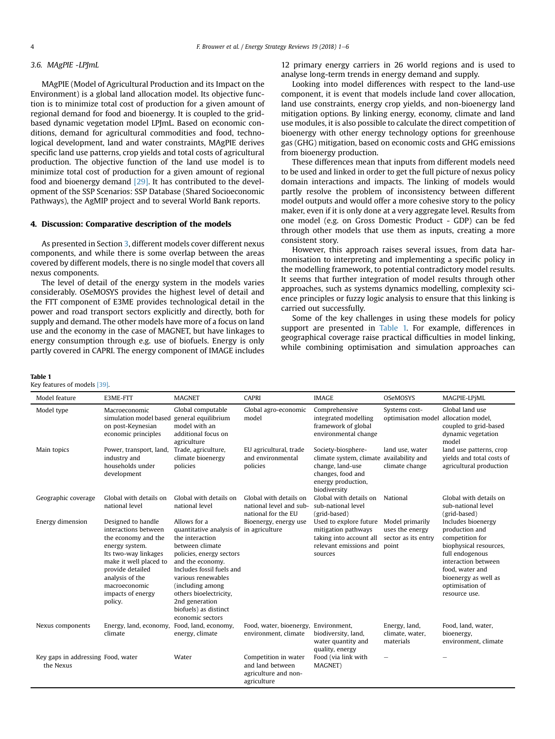#### <span id="page-3-0"></span>3.6. MAgPIE -LPJmL

MAgPIE (Model of Agricultural Production and its Impact on the Environment) is a global land allocation model. Its objective function is to minimize total cost of production for a given amount of regional demand for food and bioenergy. It is coupled to the gridbased dynamic vegetation model LPJmL. Based on economic conditions, demand for agricultural commodities and food, technological development, land and water constraints, MAgPIE derives specific land use patterns, crop yields and total costs of agricultural production. The objective function of the land use model is to minimize total cost of production for a given amount of regional food and bioenergy demand [\[29\]](#page-5-0). It has contributed to the development of the SSP Scenarios: SSP Database (Shared Socioeconomic Pathways), the AgMIP project and to several World Bank reports.

### 4. Discussion: Comparative description of the models

As presented in Section [3](#page-2-0), different models cover different nexus components, and while there is some overlap between the areas covered by different models, there is no single model that covers all nexus components.

The level of detail of the energy system in the models varies considerably. OSeMOSYS provides the highest level of detail and the FTT component of E3ME provides technological detail in the power and road transport sectors explicitly and directly, both for supply and demand. The other models have more of a focus on land use and the economy in the case of MAGNET, but have linkages to energy consumption through e.g. use of biofuels. Energy is only partly covered in CAPRI. The energy component of IMAGE includes

### Table 1

Key features of models [\[39\]](#page-5-0).

12 primary energy carriers in 26 world regions and is used to analyse long-term trends in energy demand and supply.

Looking into model differences with respect to the land-use component, it is event that models include land cover allocation, land use constraints, energy crop yields, and non-bioenergy land mitigation options. By linking energy, economy, climate and land use modules, it is also possible to calculate the direct competition of bioenergy with other energy technology options for greenhouse gas (GHG) mitigation, based on economic costs and GHG emissions from bioenergy production.

These differences mean that inputs from different models need to be used and linked in order to get the full picture of nexus policy domain interactions and impacts. The linking of models would partly resolve the problem of inconsistency between different model outputs and would offer a more cohesive story to the policy maker, even if it is only done at a very aggregate level. Results from one model (e.g. on Gross Domestic Product - GDP) can be fed through other models that use them as inputs, creating a more consistent story.

However, this approach raises several issues, from data harmonisation to interpreting and implementing a specific policy in the modelling framework, to potential contradictory model results. It seems that further integration of model results through other approaches, such as systems dynamics modelling, complexity science principles or fuzzy logic analysis to ensure that this linking is carried out successfully.

Some of the key challenges in using these models for policy support are presented in Table 1. For example, differences in geographical coverage raise practical difficulties in model linking, while combining optimisation and simulation approaches can

| Model feature                                   | E3ME-FTT                                                                                                                                                                                                                      | <b>MAGNET</b>                                                                                                                                                                                                                                                                                                 | <b>CAPRI</b>                                                                    | <b>IMAGE</b>                                                                                                                 | OSeMOSYS                                                           | MAGPIE-LPiML                                                                                                                                                                                               |
|-------------------------------------------------|-------------------------------------------------------------------------------------------------------------------------------------------------------------------------------------------------------------------------------|---------------------------------------------------------------------------------------------------------------------------------------------------------------------------------------------------------------------------------------------------------------------------------------------------------------|---------------------------------------------------------------------------------|------------------------------------------------------------------------------------------------------------------------------|--------------------------------------------------------------------|------------------------------------------------------------------------------------------------------------------------------------------------------------------------------------------------------------|
| Model type                                      | Macroeconomic<br>simulation model based<br>on post-Keynesian<br>economic principles                                                                                                                                           | Global computable<br>general equilibrium<br>model with an<br>additional focus on<br>agriculture                                                                                                                                                                                                               | Global agro-economic<br>model                                                   | Comprehensive<br>integrated modelling<br>framework of global<br>environmental change                                         | Systems cost-<br>optimisation model allocation model,              | Global land use<br>coupled to grid-based<br>dynamic vegetation<br>model                                                                                                                                    |
| Main topics                                     | Power, transport, land,<br>industry and<br>households under<br>development                                                                                                                                                    | Trade, agriculture,<br>climate bioenergy<br>policies                                                                                                                                                                                                                                                          | EU agricultural, trade<br>and environmental<br>policies                         | Society-biosphere-<br>climate system, climate<br>change, land-use<br>changes, food and<br>energy production,<br>biodiversity | land use, water<br>availability and<br>climate change              | land use patterns, crop<br>yields and total costs of<br>agricultural production                                                                                                                            |
| Geographic coverage                             | Global with details on<br>national level                                                                                                                                                                                      | Global with details on<br>national level                                                                                                                                                                                                                                                                      | Global with details on<br>national level and sub-<br>national for the EU        | Global with details on<br>sub-national level<br>(grid-based)                                                                 | National                                                           | Global with details on<br>sub-national level<br>(grid-based)                                                                                                                                               |
| Energy dimension                                | Designed to handle<br>interactions between<br>the economy and the<br>energy system.<br>Its two-way linkages<br>make it well placed to<br>provide detailed<br>analysis of the<br>macroeconomic<br>impacts of energy<br>policy. | Allows for a<br>quantitative analysis of in agriculture<br>the interaction<br>between climate<br>policies, energy sectors<br>and the economy.<br>Includes fossil fuels and<br>various renewables<br>(including among<br>others bioelectricity,<br>2nd generation<br>biofuels) as distinct<br>economic sectors | Bioenergy, energy use                                                           | Used to explore future<br>mitigation pathways<br>taking into account all<br>relevant emissions and<br>sources                | Model primarily<br>uses the energy<br>sector as its entry<br>point | Includes bioenergy<br>production and<br>competition for<br>biophysical resources,<br>full endogenous<br>interaction between<br>food, water and<br>bioenergy as well as<br>optimisation of<br>resource use. |
| Nexus components                                | Energy, land, economy, Food, land, economy,<br>climate                                                                                                                                                                        | energy, climate                                                                                                                                                                                                                                                                                               | Food, water, bioenergy, Environment,<br>environment, climate                    | biodiversity, land,<br>water quantity and<br>quality, energy                                                                 | Energy, land,<br>climate, water,<br>materials                      | Food, land, water,<br>bioenergy,<br>environment, climate                                                                                                                                                   |
| Key gaps in addressing Food, water<br>the Nexus |                                                                                                                                                                                                                               | Water                                                                                                                                                                                                                                                                                                         | Competition in water<br>and land between<br>agriculture and non-<br>agriculture | Food (via link with<br>MAGNET)                                                                                               |                                                                    |                                                                                                                                                                                                            |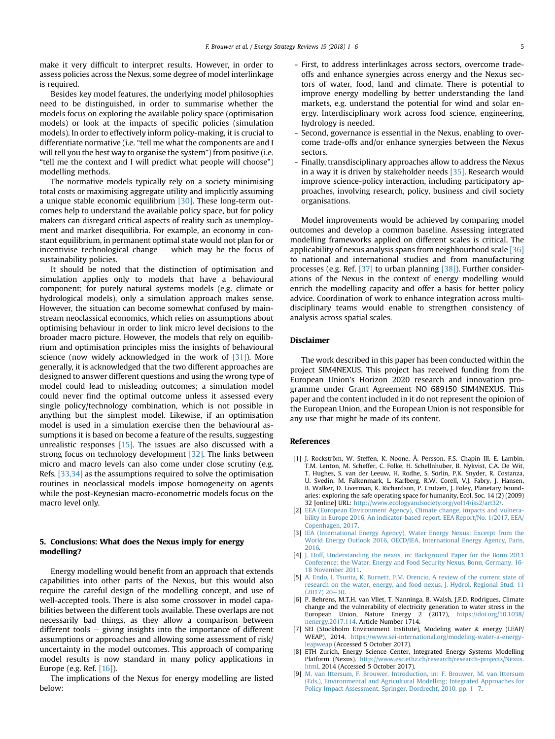<span id="page-4-0"></span>make it very difficult to interpret results. However, in order to assess policies across the Nexus, some degree of model interlinkage is required.

Besides key model features, the underlying model philosophies need to be distinguished, in order to summarise whether the models focus on exploring the available policy space (optimisation models) or look at the impacts of specific policies (simulation models). In order to effectively inform policy-making, it is crucial to differentiate normative (i.e. "tell me what the components are and I will tell you the best way to organise the system") from positive (i.e. "tell me the context and I will predict what people will choose") modelling methods.

The normative models typically rely on a society minimising total costs or maximising aggregate utility and implicitly assuming a unique stable economic equilibrium [\[30\].](#page-5-0) These long-term outcomes help to understand the available policy space, but for policy makers can disregard critical aspects of reality such as unemployment and market disequilibria. For example, an economy in constant equilibrium, in permanent optimal state would not plan for or incentivise technological change  $-$  which may be the focus of sustainability policies.

It should be noted that the distinction of optimisation and simulation applies only to models that have a behavioural component; for purely natural systems models (e.g. climate or hydrological models), only a simulation approach makes sense. However, the situation can become somewhat confused by mainstream neoclassical economics, which relies on assumptions about optimising behaviour in order to link micro level decisions to the broader macro picture. However, the models that rely on equilibrium and optimisation principles miss the insights of behavioural science (now widely acknowledged in the work of  $[31]$ ). More generally, it is acknowledged that the two different approaches are designed to answer different questions and using the wrong type of model could lead to misleading outcomes; a simulation model could never find the optimal outcome unless it assessed every single policy/technology combination, which is not possible in anything but the simplest model. Likewise, if an optimisation model is used in a simulation exercise then the behavioural assumptions it is based on become a feature of the results, suggesting unrealistic responses  $[15]$ . The issues are also discussed with a strong focus on technology development [\[32\].](#page-5-0) The links between micro and macro levels can also come under close scrutiny (e.g. Refs. [\[33,34\]](#page-5-0) as the assumptions required to solve the optimisation routines in neoclassical models impose homogeneity on agents while the post-Keynesian macro-econometric models focus on the macro level only.

### 5. Conclusions: What does the Nexus imply for energy modelling?

Energy modelling would benefit from an approach that extends capabilities into other parts of the Nexus, but this would also require the careful design of the modelling concept, and use of well-accepted tools. There is also some crossover in model capabilities between the different tools available. These overlaps are not necessarily bad things, as they allow a comparison between different tools  $-$  giving insights into the importance of different assumptions or approaches and allowing some assessment of risk/ uncertainty in the model outcomes. This approach of comparing model results is now standard in many policy applications in Europe (e.g. Ref. [\[16\]\)](#page-5-0).

The implications of the Nexus for energy modelling are listed below:

- First, to address interlinkages across sectors, overcome tradeoffs and enhance synergies across energy and the Nexus sectors of water, food, land and climate. There is potential to improve energy modelling by better understanding the land markets, e.g. understand the potential for wind and solar energy. Interdisciplinary work across food science, engineering, hydrology is needed.
- Second, governance is essential in the Nexus, enabling to overcome trade-offs and/or enhance synergies between the Nexus sectors.
- Finally, transdisciplinary approaches allow to address the Nexus in a way it is driven by stakeholder needs [\[35\].](#page-5-0) Research would improve science-policy interaction, including participatory approaches, involving research, policy, business and civil society organisations.

Model improvements would be achieved by comparing model outcomes and develop a common baseline. Assessing integrated modelling frameworks applied on different scales is critical. The applicability of nexus analysis spans from neighbourhood scale [\[36\]](#page-5-0) to national and international studies and from manufacturing processes (e.g. Ref. [\[37\]](#page-5-0) to urban planning [\[38\]](#page-5-0)). Further considerations of the Nexus in the context of energy modelling would enrich the modelling capacity and offer a basis for better policy advice. Coordination of work to enhance integration across multidisciplinary teams would enable to strengthen consistency of analysis across spatial scales.

### Disclaimer

The work described in this paper has been conducted within the project SIM4NEXUS. This project has received funding from the European Union's Horizon 2020 research and innovation programme under Grant Agreement NO 689150 SIM4NEXUS. This paper and the content included in it do not represent the opinion of the European Union, and the European Union is not responsible for any use that might be made of its content.

#### References

- [1] J. Rockström, W. Steffen, K. Noone, Å. Persson, F.S. Chapin III, E. Lambin, T.M. Lenton, M. Scheffer, C. Folke, H. Schellnhuber, B. Nykvist, C.A. De Wit, T. Hughes, S. van der Leeuw, H. Rodhe, S. Sörlin, P.K. Snyder, R. Costanza, U. Svedin, M. Falkenmark, L. Karlberg, R.W. Corell, V.J. Fabry, J. Hansen, B. Walker, D. Liverman, K. Richardson, P. Crutzen, J. Foley, Planetary boundaries: exploring the safe operating space for humanity, Ecol. Soc. 14 (2) (2009) 32 [online] URL: <http://www.ecologyandsociety.org/vol14/iss2/art32/>.
- [2] [EEA \(European Environment Agency\), Climate change, impacts and vulnera](http://refhub.elsevier.com/S2211-467X(17)30065-2/sref2)[bility in Europe 2016, An indicator-based report. EEA Report/No. 1/2017, EEA/](http://refhub.elsevier.com/S2211-467X(17)30065-2/sref2) [Copenhagen, 2017.](http://refhub.elsevier.com/S2211-467X(17)30065-2/sref2)
- [3] [IEA \(International Energy Agency\), Water Energy Nexus; Excerpt from the](http://refhub.elsevier.com/S2211-467X(17)30065-2/sref3) [World Energy Outlook 2016, OECD/IEA, International Energy Agency, Paris,](http://refhub.elsevier.com/S2211-467X(17)30065-2/sref3) [2016.](http://refhub.elsevier.com/S2211-467X(17)30065-2/sref3)
- [4] [J. Hoff, Understanding the nexus, in: Background Paper for the Bonn 2011](http://refhub.elsevier.com/S2211-467X(17)30065-2/sref4) [Conference: the Water, Energy and Food Security Nexus, Bonn, Germany, 16-](http://refhub.elsevier.com/S2211-467X(17)30065-2/sref4) [18 November 2011](http://refhub.elsevier.com/S2211-467X(17)30065-2/sref4).
- [5] [A. Endo, I. Tsurita, K. Burnett, P.M. Orencio, A review of the current state of](http://refhub.elsevier.com/S2211-467X(17)30065-2/sref5) [research on the water, energy, and food nexus, J. Hydrol. Regional Stud. 11](http://refhub.elsevier.com/S2211-467X(17)30065-2/sref5)  $(2017)$   $20 - 30$ .
- [6] P. Behrens, M.T.H. van Vliet, T. Nanninga, B. Walsh, J.F.D. Rodrigues, Climate change and the vulnerability of electricity generation to water stress in the European Union, Nature Energy 2 (2017), [https://doi.org/10.1038/](https://doi.org/10.1038/nenergy.2017.114) [nenergy.2017.114.](https://doi.org/10.1038/nenergy.2017.114) Article Number 1714.
- [7] SEI (Stockholm Environment Institute), Modeling water & energy (LEAP/ WEAP), 2014. [https://www.sei-international.org/modeling-water-a-energy](https://www.sei-international.org/modeling-water-a-energy-leapweap)[leapweap](https://www.sei-international.org/modeling-water-a-energy-leapweap) (Accessed 5 October 2017).
- [8] ETH Zurich, Energy Science Center, Integrated Energy Systems Modelling Platform (Nexus). [http://www.esc.ethz.ch/research/research-projects/Nexus.](http://www.esc.ethz.ch/research/research-projects/Nexus.html) [html,](http://www.esc.ethz.ch/research/research-projects/Nexus.html) 2014 (Accessed 5 October 2017).
- [9] [M. van Ittersum, F. Brouwer, Introduction, in: F. Brouwer, M. van Ittersum](http://refhub.elsevier.com/S2211-467X(17)30065-2/sref9) [\(Eds.\), Environmental and Agricultural Modelling; Integrated Approaches for](http://refhub.elsevier.com/S2211-467X(17)30065-2/sref9) [Policy Impact Assessment, Springer, Dordrecht, 2010, pp. 1](http://refhub.elsevier.com/S2211-467X(17)30065-2/sref9)-[7.](http://refhub.elsevier.com/S2211-467X(17)30065-2/sref9)